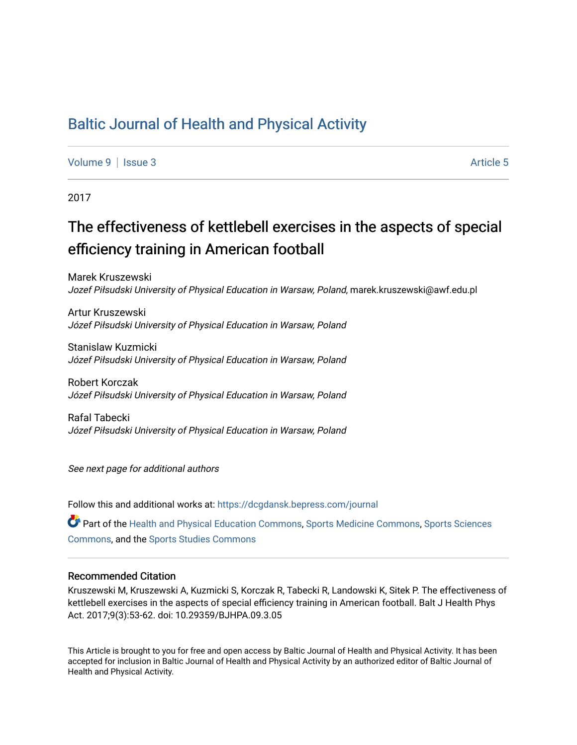## [Baltic Journal of Health and Physical Activity](https://dcgdansk.bepress.com/journal)

[Volume 9](https://dcgdansk.bepress.com/journal/vol9) | [Issue 3](https://dcgdansk.bepress.com/journal/vol9/iss3) Article 5

2017

# The effectiveness of kettlebell exercises in the aspects of special efficiency training in American football

Marek Kruszewski Jozef Piłsudski University of Physical Education in Warsaw, Poland, marek.kruszewski@awf.edu.pl

Artur Kruszewski Józef Piłsudski University of Physical Education in Warsaw, Poland

Stanislaw Kuzmicki Józef Piłsudski University of Physical Education in Warsaw, Poland

Robert Korczak Józef Piłsudski University of Physical Education in Warsaw, Poland

Rafal Tabecki Józef Piłsudski University of Physical Education in Warsaw, Poland

See next page for additional authors

Follow this and additional works at: [https://dcgdansk.bepress.com/journal](https://dcgdansk.bepress.com/journal?utm_source=dcgdansk.bepress.com%2Fjournal%2Fvol9%2Fiss3%2F5&utm_medium=PDF&utm_campaign=PDFCoverPages)

Part of the [Health and Physical Education Commons](http://network.bepress.com/hgg/discipline/1327?utm_source=dcgdansk.bepress.com%2Fjournal%2Fvol9%2Fiss3%2F5&utm_medium=PDF&utm_campaign=PDFCoverPages), [Sports Medicine Commons,](http://network.bepress.com/hgg/discipline/1331?utm_source=dcgdansk.bepress.com%2Fjournal%2Fvol9%2Fiss3%2F5&utm_medium=PDF&utm_campaign=PDFCoverPages) [Sports Sciences](http://network.bepress.com/hgg/discipline/759?utm_source=dcgdansk.bepress.com%2Fjournal%2Fvol9%2Fiss3%2F5&utm_medium=PDF&utm_campaign=PDFCoverPages) [Commons](http://network.bepress.com/hgg/discipline/759?utm_source=dcgdansk.bepress.com%2Fjournal%2Fvol9%2Fiss3%2F5&utm_medium=PDF&utm_campaign=PDFCoverPages), and the [Sports Studies Commons](http://network.bepress.com/hgg/discipline/1198?utm_source=dcgdansk.bepress.com%2Fjournal%2Fvol9%2Fiss3%2F5&utm_medium=PDF&utm_campaign=PDFCoverPages) 

#### Recommended Citation

Kruszewski M, Kruszewski A, Kuzmicki S, Korczak R, Tabecki R, Landowski K, Sitek P. The effectiveness of kettlebell exercises in the aspects of special efficiency training in American football. Balt J Health Phys Act. 2017;9(3):53-62. doi: 10.29359/BJHPA.09.3.05

This Article is brought to you for free and open access by Baltic Journal of Health and Physical Activity. It has been accepted for inclusion in Baltic Journal of Health and Physical Activity by an authorized editor of Baltic Journal of Health and Physical Activity.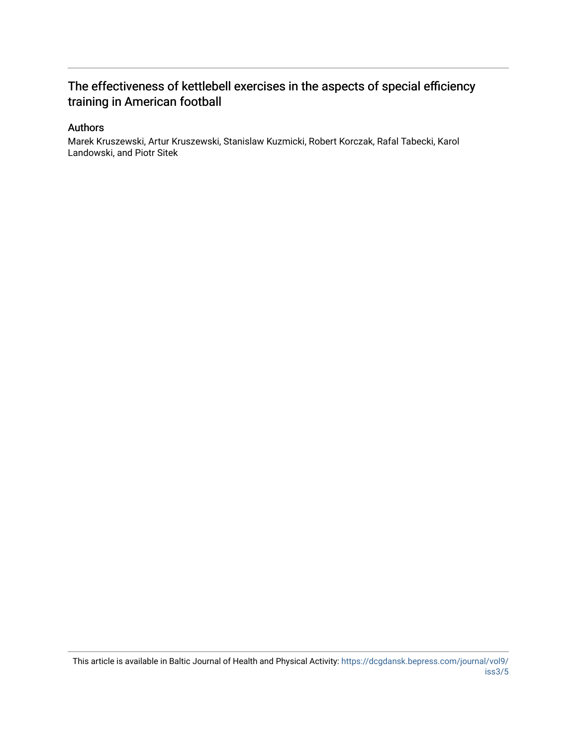## The effectiveness of kettlebell exercises in the aspects of special efficiency training in American football

### Authors

Marek Kruszewski, Artur Kruszewski, Stanislaw Kuzmicki, Robert Korczak, Rafal Tabecki, Karol Landowski, and Piotr Sitek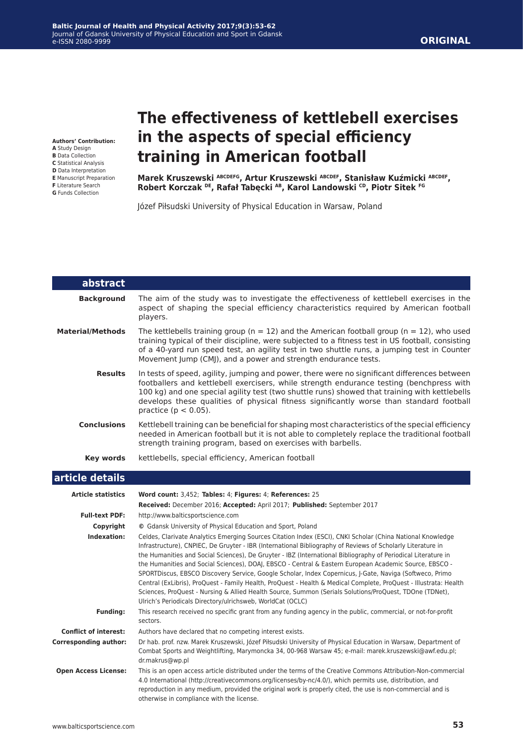# **The effectiveness of kettlebell exercises in the aspects of special efficiency training in American football**

**Marek Kruszewski ABCDEFG, Artur Kruszewski ABCDEF, Stanisław Kuźmicki ABCDEF, Robert Korczak DE, Rafał Tabęcki AB, Karol Landowski CD, Piotr Sitek FG**

Józef Piłsudski University of Physical Education in Warsaw, Poland

| abstract                     |                                                                                                                                                                                                                                                                                                                                                                                                                                                                                                                                                                                                                                                                                                                                                                                                                                                               |  |  |  |
|------------------------------|---------------------------------------------------------------------------------------------------------------------------------------------------------------------------------------------------------------------------------------------------------------------------------------------------------------------------------------------------------------------------------------------------------------------------------------------------------------------------------------------------------------------------------------------------------------------------------------------------------------------------------------------------------------------------------------------------------------------------------------------------------------------------------------------------------------------------------------------------------------|--|--|--|
| <b>Background</b>            | The aim of the study was to investigate the effectiveness of kettlebell exercises in the<br>aspect of shaping the special efficiency characteristics required by American football<br>players.                                                                                                                                                                                                                                                                                                                                                                                                                                                                                                                                                                                                                                                                |  |  |  |
| <b>Material/Methods</b>      | The kettlebells training group ( $n = 12$ ) and the American football group ( $n = 12$ ), who used<br>training typical of their discipline, were subjected to a fitness test in US football, consisting<br>of a 40-yard run speed test, an agility test in two shuttle runs, a jumping test in Counter<br>Movement Jump (CMJ), and a power and strength endurance tests.                                                                                                                                                                                                                                                                                                                                                                                                                                                                                      |  |  |  |
| <b>Results</b>               | In tests of speed, agility, jumping and power, there were no significant differences between<br>footballers and kettlebell exercisers, while strength endurance testing (benchpress with<br>100 kg) and one special agility test (two shuttle runs) showed that training with kettlebells<br>develops these qualities of physical fitness significantly worse than standard football<br>practice ( $p < 0.05$ ).                                                                                                                                                                                                                                                                                                                                                                                                                                              |  |  |  |
| <b>Conclusions</b>           | Kettlebell training can be beneficial for shaping most characteristics of the special efficiency<br>needed in American football but it is not able to completely replace the traditional football<br>strength training program, based on exercises with barbells.                                                                                                                                                                                                                                                                                                                                                                                                                                                                                                                                                                                             |  |  |  |
| <b>Key words</b>             | kettlebells, special efficiency, American football                                                                                                                                                                                                                                                                                                                                                                                                                                                                                                                                                                                                                                                                                                                                                                                                            |  |  |  |
| article details              |                                                                                                                                                                                                                                                                                                                                                                                                                                                                                                                                                                                                                                                                                                                                                                                                                                                               |  |  |  |
| <b>Article statistics</b>    | Word count: 3,452; Tables: 4; Figures: 4; References: 25                                                                                                                                                                                                                                                                                                                                                                                                                                                                                                                                                                                                                                                                                                                                                                                                      |  |  |  |
|                              | Received: December 2016; Accepted: April 2017; Published: September 2017                                                                                                                                                                                                                                                                                                                                                                                                                                                                                                                                                                                                                                                                                                                                                                                      |  |  |  |
| <b>Full-text PDF:</b>        | http://www.balticsportscience.com                                                                                                                                                                                                                                                                                                                                                                                                                                                                                                                                                                                                                                                                                                                                                                                                                             |  |  |  |
| Copyright                    | © Gdansk University of Physical Education and Sport, Poland                                                                                                                                                                                                                                                                                                                                                                                                                                                                                                                                                                                                                                                                                                                                                                                                   |  |  |  |
| Indexation:                  | Celdes, Clarivate Analytics Emerging Sources Citation Index (ESCI), CNKI Scholar (China National Knowledge<br>Infrastructure), CNPIEC, De Gruyter - IBR (International Bibliography of Reviews of Scholarly Literature in<br>the Humanities and Social Sciences), De Gruyter - IBZ (International Bibliography of Periodical Literature in<br>the Humanities and Social Sciences), DOAJ, EBSCO - Central & Eastern European Academic Source, EBSCO -<br>SPORTDiscus, EBSCO Discovery Service, Google Scholar, Index Copernicus, J-Gate, Naviga (Softweco, Primo<br>Central (ExLibris), ProQuest - Family Health, ProQuest - Health & Medical Complete, ProQuest - Illustrata: Health<br>Sciences, ProQuest - Nursing & Allied Health Source, Summon (Serials Solutions/ProQuest, TDOne (TDNet),<br>Ulrich's Periodicals Directory/ulrichsweb, WorldCat (OCLC) |  |  |  |
| <b>Funding:</b>              | This research received no specific grant from any funding agency in the public, commercial, or not-for-profit<br>sectors.                                                                                                                                                                                                                                                                                                                                                                                                                                                                                                                                                                                                                                                                                                                                     |  |  |  |
| <b>Conflict of interest:</b> | Authors have declared that no competing interest exists.                                                                                                                                                                                                                                                                                                                                                                                                                                                                                                                                                                                                                                                                                                                                                                                                      |  |  |  |
| <b>Corresponding author:</b> | Dr hab. prof. nzw. Marek Kruszewski, Józef Piłsudski University of Physical Education in Warsaw, Department of<br>Combat Sports and Weightlifting, Marymoncka 34, 00-968 Warsaw 45; e-mail: marek.kruszewski@awf.edu.pl;<br>dr.makrus@wp.pl                                                                                                                                                                                                                                                                                                                                                                                                                                                                                                                                                                                                                   |  |  |  |
| <b>Open Access License:</b>  | This is an open access article distributed under the terms of the Creative Commons Attribution-Non-commercial<br>4.0 International (http://creativecommons.org/licenses/by-nc/4.0/), which permits use, distribution, and<br>reproduction in any medium, provided the original work is properly cited, the use is non-commercial and is<br>otherwise in compliance with the license.                                                                                                                                                                                                                                                                                                                                                                                                                                                                          |  |  |  |

**Baltic Journal of Health and Physical Activity 2017;9(3):53-62** Journal of Gdansk University of Physical Education and Sport in Gdansk e-ISSN 2080-9999

www.balticsportscience.com **53**

**Authors' Contribution:**

- **A** Study Design **B** Data Collection
- **C** Statistical Analysis
- **D** Data Interpretation
- **E** Manuscript Preparation **F** Literature Search
- **G** Funds Collection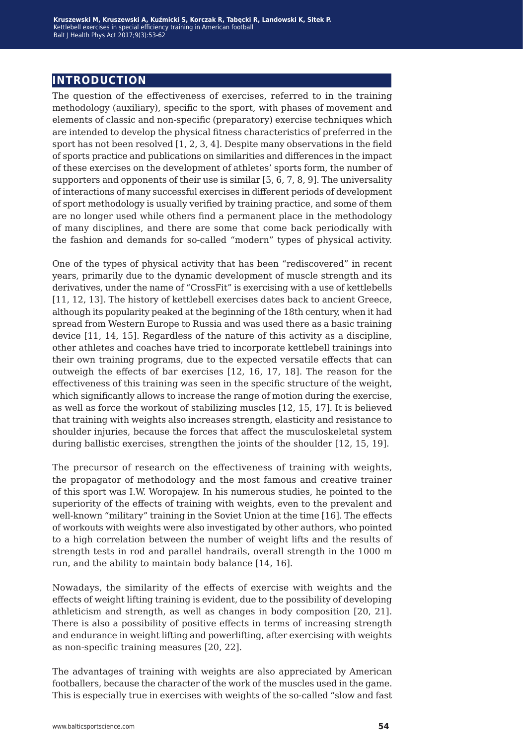## **introduction**

The question of the effectiveness of exercises, referred to in the training methodology (auxiliary), specific to the sport, with phases of movement and elements of classic and non-specific (preparatory) exercise techniques which are intended to develop the physical fitness characteristics of preferred in the sport has not been resolved [1, 2, 3, 4]. Despite many observations in the field of sports practice and publications on similarities and differences in the impact of these exercises on the development of athletes' sports form, the number of supporters and opponents of their use is similar [5, 6, 7, 8, 9]. The universality of interactions of many successful exercises in different periods of development of sport methodology is usually verified by training practice, and some of them are no longer used while others find a permanent place in the methodology of many disciplines, and there are some that come back periodically with the fashion and demands for so-called "modern" types of physical activity.

One of the types of physical activity that has been "rediscovered" in recent years, primarily due to the dynamic development of muscle strength and its derivatives, under the name of "CrossFit" is exercising with a use of kettlebells [11, 12, 13]. The history of kettlebell exercises dates back to ancient Greece, although its popularity peaked at the beginning of the 18th century, when it had spread from Western Europe to Russia and was used there as a basic training device [11, 14, 15]. Regardless of the nature of this activity as a discipline, other athletes and coaches have tried to incorporate kettlebell trainings into their own training programs, due to the expected versatile effects that can outweigh the effects of bar exercises [12, 16, 17, 18]. The reason for the effectiveness of this training was seen in the specific structure of the weight, which significantly allows to increase the range of motion during the exercise, as well as force the workout of stabilizing muscles [12, 15, 17]. It is believed that training with weights also increases strength, elasticity and resistance to shoulder injuries, because the forces that affect the musculoskeletal system during ballistic exercises, strengthen the joints of the shoulder [12, 15, 19].

The precursor of research on the effectiveness of training with weights, the propagator of methodology and the most famous and creative trainer of this sport was I.W. Woropajew. In his numerous studies, he pointed to the superiority of the effects of training with weights, even to the prevalent and well-known "military" training in the Soviet Union at the time [16]. The effects of workouts with weights were also investigated by other authors, who pointed to a high correlation between the number of weight lifts and the results of strength tests in rod and parallel handrails, overall strength in the 1000 m run, and the ability to maintain body balance [14, 16].

Nowadays, the similarity of the effects of exercise with weights and the effects of weight lifting training is evident, due to the possibility of developing athleticism and strength, as well as changes in body composition [20, 21]. There is also a possibility of positive effects in terms of increasing strength and endurance in weight lifting and powerlifting, after exercising with weights as non-specific training measures [20, 22].

The advantages of training with weights are also appreciated by American footballers, because the character of the work of the muscles used in the game. This is especially true in exercises with weights of the so-called "slow and fast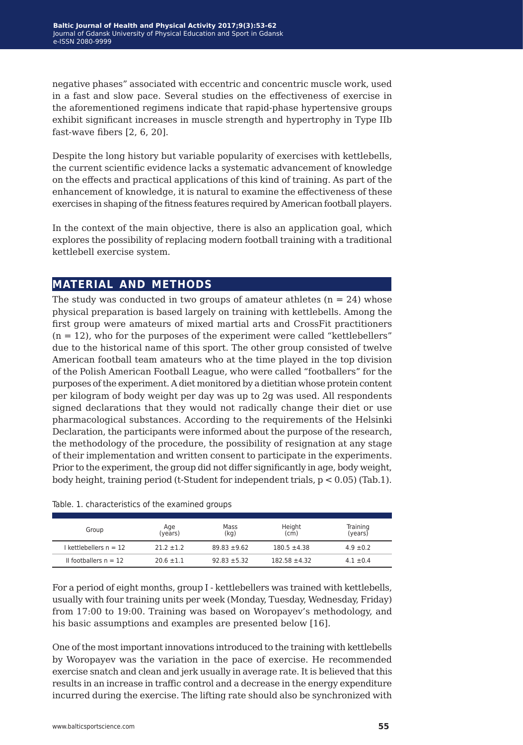negative phases" associated with eccentric and concentric muscle work, used in a fast and slow pace. Several studies on the effectiveness of exercise in the aforementioned regimens indicate that rapid-phase hypertensive groups exhibit significant increases in muscle strength and hypertrophy in Type IIb fast-wave fibers [2, 6, 20].

Despite the long history but variable popularity of exercises with kettlebells, the current scientific evidence lacks a systematic advancement of knowledge on the effects and practical applications of this kind of training. As part of the enhancement of knowledge, it is natural to examine the effectiveness of these exercises in shaping of the fitness features required by American football players.

In the context of the main objective, there is also an application goal, which explores the possibility of replacing modern football training with a traditional kettlebell exercise system.

## **material and methods**

The study was conducted in two groups of amateur athletes  $(n = 24)$  whose physical preparation is based largely on training with kettlebells. Among the first group were amateurs of mixed martial arts and CrossFit practitioners  $(n = 12)$ , who for the purposes of the experiment were called "kettlebellers" due to the historical name of this sport. The other group consisted of twelve American football team amateurs who at the time played in the top division of the Polish American Football League, who were called "footballers" for the purposes of the experiment. A diet monitored by a dietitian whose protein content per kilogram of body weight per day was up to 2g was used. All respondents signed declarations that they would not radically change their diet or use pharmacological substances. According to the requirements of the Helsinki Declaration, the participants were informed about the purpose of the research, the methodology of the procedure, the possibility of resignation at any stage of their implementation and written consent to participate in the experiments. Prior to the experiment, the group did not differ significantly in age, body weight, body height, training period (t-Student for independent trials, p < 0.05) (Tab.1).

| Group                   | Age<br>(years) | Mass<br>(kg)     | Height<br>(cm)    | Training<br>(years) |
|-------------------------|----------------|------------------|-------------------|---------------------|
| l kettlebellers n = 12  | $21.2 + 1.2$   | $89.83 + 9.62$   | $180.5 \pm 4.38$  | $4.9 \pm 0.2$       |
| II footballers $n = 12$ | $20.6 \pm 1.1$ | $92.83 \pm 5.32$ | $182.58 \pm 4.32$ | $4.1 \pm 0.4$       |

Table. 1. characteristics of the examined groups

For a period of eight months, group I - kettlebellers was trained with kettlebells, usually with four training units per week (Monday, Tuesday, Wednesday, Friday) from 17:00 to 19:00. Training was based on Woropayev's methodology, and his basic assumptions and examples are presented below [16].

One of the most important innovations introduced to the training with kettlebells by Woropayev was the variation in the pace of exercise. He recommended exercise snatch and clean and jerk usually in average rate. It is believed that this results in an increase in traffic control and a decrease in the energy expenditure incurred during the exercise. The lifting rate should also be synchronized with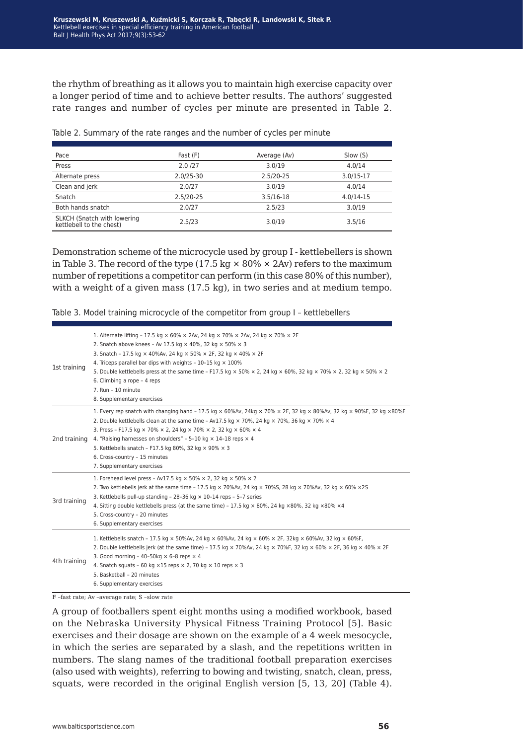the rhythm of breathing as it allows you to maintain high exercise capacity over a longer period of time and to achieve better results. The authors' suggested rate ranges and number of cycles per minute are presented in Table 2.

| Pace                                                    | Fast (F)      | Average (Av) | Slow (S)      |
|---------------------------------------------------------|---------------|--------------|---------------|
| Press                                                   | 2.0/27        | 3.0/19       | 4.0/14        |
| Alternate press                                         | $2.0/25 - 30$ | 2.5/20-25    | $3.0/15 - 17$ |
| Clean and jerk                                          | 2.0/27        | 3.0/19       | 4.0/14        |
| Snatch                                                  | 2.5/20-25     | 3.5/16-18    | $4.0/14 - 15$ |
| Both hands snatch                                       | 2.0/27        | 2.5/23       | 3.0/19        |
| SLKCH (Snatch with lowering<br>kettlebell to the chest) | 2.5/23        | 3.0/19       | 3.5/16        |

Table 2. Summary of the rate ranges and the number of cycles per minute

Demonstration scheme of the microcycle used by group I - kettlebellers is shown in Table 3. The record of the type (17.5 kg  $\times$  80%  $\times$  2Av) refers to the maximum number of repetitions a competitor can perform (in this case 80% of this number), with a weight of a given mass (17.5 kg), in two series and at medium tempo.

Table 3. Model training microcycle of the competitor from group I – kettlebellers

| 1st training | 1. Alternate lifting - 17.5 kg $\times$ 60% $\times$ 2Av, 24 kg $\times$ 70% $\times$ 2Av, 24 kg $\times$ 70% $\times$ 2F<br>2. Snatch above knees - Av 17.5 kg × 40%, 32 kg × 50% × 3<br>3. Snatch - 17.5 kg × 40%Av, 24 kg × 50% × 2F, 32 kg × 40% × 2F<br>4. Triceps parallel bar dips with weights - $10-15$ kg $\times$ 100%<br>5. Double kettlebells press at the same time - F17.5 kg $\times$ 50% $\times$ 2, 24 kg $\times$ 60%, 32 kg $\times$ 70% $\times$ 2, 32 kg $\times$ 50% $\times$ 2<br>6. Climbing a rope - 4 reps<br>$7.$ Run - 10 minute<br>8. Supplementary exercises |
|--------------|---------------------------------------------------------------------------------------------------------------------------------------------------------------------------------------------------------------------------------------------------------------------------------------------------------------------------------------------------------------------------------------------------------------------------------------------------------------------------------------------------------------------------------------------------------------------------------------------|
| 2nd training | 1. Every rep snatch with changing hand - 17.5 kg $\times$ 60%Av, 24kg $\times$ 70% $\times$ 2F, 32 kg $\times$ 80%Av, 32 kg $\times$ 90%F, 32 kg $\times$ 80%F<br>2. Double kettlebells clean at the same time - Av17.5 kg $\times$ 70%, 24 kg $\times$ 70%, 36 kg $\times$ 70% $\times$ 4<br>3. Press - F17.5 kg × 70% × 2, 24 kg × 70% × 2, 32 kg × 60% × 4<br>4. "Raising harnesses on shoulders" - 5-10 kg $\times$ 14-18 reps $\times$ 4<br>5. Kettlebells snatch - F17.5 kg 80%, 32 kg × 90% × 3<br>6. Cross-country - 15 minutes<br>7. Supplementary exercises                       |
| 3rd training | 1. Forehead level press - Av17.5 kg $\times$ 50% $\times$ 2, 32 kg $\times$ 50% $\times$ 2<br>2. Two kettlebells jerk at the same time - 17.5 kg $\times$ 70%Av, 24 kg $\times$ 70%S, 28 kg $\times$ 70%Av, 32 kg $\times$ 60% $\times$ 2S<br>3. Kettlebells pull-up standing - 28-36 kg $\times$ 10-14 reps - 5-7 series<br>4. Sitting double kettlebells press (at the same time) - 17.5 kg $\times$ 80%, 24 kg $\times$ 80%, 32 kg $\times$ 80% $\times$ 4<br>5. Cross-country - 20 minutes<br>6. Supplementary exercises                                                                |
| 4th training | 1. Kettlebells snatch - 17.5 kg × 50%Av, 24 kg × 60%Av, 24 kg × 60% × 2F, 32kg × 60%Av, 32 kg × 60%F,<br>2. Double kettlebells jerk (at the same time) - 17.5 kg $\times$ 70%Av, 24 kg $\times$ 70%F, 32 kg $\times$ 60% $\times$ 2F, 36 kg $\times$ 40% $\times$ 2F<br>3. Good morning - 40-50kg $\times$ 6-8 reps $\times$ 4<br>4. Snatch squats - 60 kg $\times$ 15 reps $\times$ 2, 70 kg $\times$ 10 reps $\times$ 3<br>5. Basketball - 20 minutes<br>6. Supplementary exercises                                                                                                       |

F –fast rate; Av –average rate; S –slow rate

A group of footballers spent eight months using a modified workbook, based on the Nebraska University Physical Fitness Training Protocol [5]. Basic exercises and their dosage are shown on the example of a 4 week mesocycle, in which the series are separated by a slash, and the repetitions written in numbers. The slang names of the traditional football preparation exercises (also used with weights), referring to bowing and twisting, snatch, clean, press, squats, were recorded in the original English version [5, 13, 20] (Table 4).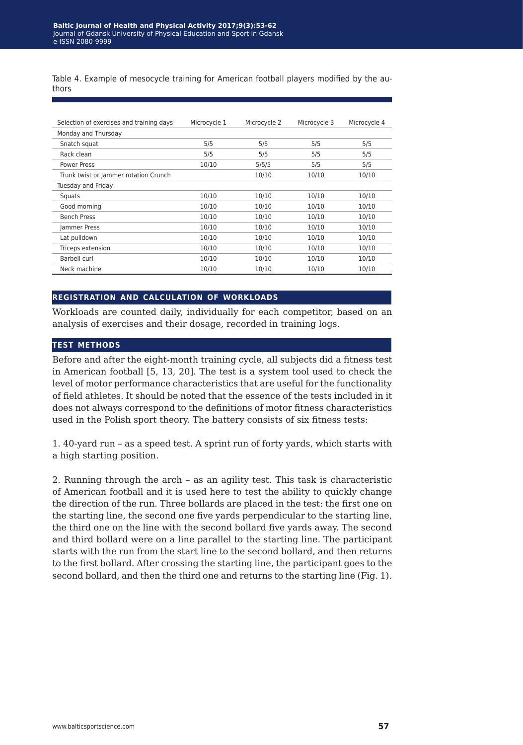Table 4. Example of mesocycle training for American football players modified by the authors

| Selection of exercises and training days | Microcycle 1 | Microcycle 2 | Microcycle 3 | Microcycle 4 |
|------------------------------------------|--------------|--------------|--------------|--------------|
| Monday and Thursday                      |              |              |              |              |
| Snatch squat                             | 5/5          | 5/5          | 5/5          | 5/5          |
| Rack clean                               | 5/5          | 5/5          | 5/5          | 5/5          |
| <b>Power Press</b>                       | 10/10        | 5/5/5        | 5/5          | 5/5          |
| Trunk twist or Jammer rotation Crunch    |              | 10/10        | 10/10        | 10/10        |
| Tuesday and Friday                       |              |              |              |              |
| Squats                                   | 10/10        | 10/10        | 10/10        | 10/10        |
| Good morning                             | 10/10        | 10/10        | 10/10        | 10/10        |
| <b>Bench Press</b>                       | 10/10        | 10/10        | 10/10        | 10/10        |
| Jammer Press                             | 10/10        | 10/10        | 10/10        | 10/10        |
| Lat pulldown                             | 10/10        | 10/10        | 10/10        | 10/10        |
| Triceps extension                        | 10/10        | 10/10        | 10/10        | 10/10        |
| Barbell curl                             | 10/10        | 10/10        | 10/10        | 10/10        |
| Neck machine                             | 10/10        | 10/10        | 10/10        | 10/10        |

#### **registration and calculation of workloads**

Workloads are counted daily, individually for each competitor, based on an analysis of exercises and their dosage, recorded in training logs.

#### **test methods**

Before and after the eight-month training cycle, all subjects did a fitness test in American football [5, 13, 20]. The test is a system tool used to check the level of motor performance characteristics that are useful for the functionality of field athletes. It should be noted that the essence of the tests included in it does not always correspond to the definitions of motor fitness characteristics used in the Polish sport theory. The battery consists of six fitness tests:

1. 40-yard run – as a speed test. A sprint run of forty yards, which starts with a high starting position.

2. Running through the arch – as an agility test. This task is characteristic of American football and it is used here to test the ability to quickly change the direction of the run. Three bollards are placed in the test: the first one on the starting line, the second one five yards perpendicular to the starting line, the third one on the line with the second bollard five yards away. The second and third bollard were on a line parallel to the starting line. The participant starts with the run from the start line to the second bollard, and then returns to the first bollard. After crossing the starting line, the participant goes to the second bollard, and then the third one and returns to the starting line (Fig. 1).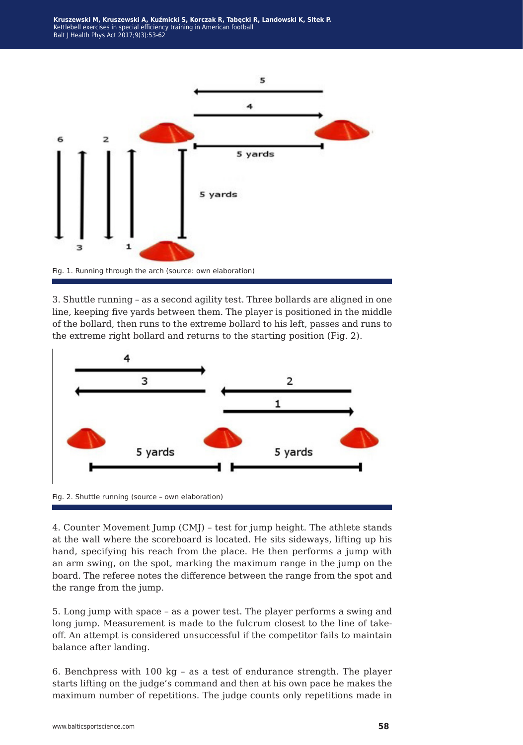**Kruszewski M, Kruszewski A, Kuźmicki S, Korczak R, Tabęcki R, Landowski K, Sitek P.** Kettlebell exercises in special efficiency training in American football Balt J Health Phys Act 2017;9(3):53-62



3. Shuttle running – as a second agility test. Three bollards are aligned in one line, keeping five yards between them. The player is positioned in the middle of the bollard, then runs to the extreme bollard to his left, passes and runs to the extreme right bollard and returns to the starting position (Fig. 2).



Fig. 2. Shuttle running (source – own elaboration)

4. Counter Movement Jump (CMJ) – test for jump height. The athlete stands at the wall where the scoreboard is located. He sits sideways, lifting up his hand, specifying his reach from the place. He then performs a jump with an arm swing, on the spot, marking the maximum range in the jump on the board. The referee notes the difference between the range from the spot and the range from the jump.

5. Long jump with space – as a power test. The player performs a swing and long jump. Measurement is made to the fulcrum closest to the line of takeoff. An attempt is considered unsuccessful if the competitor fails to maintain balance after landing.

6. Benchpress with 100 kg – as a test of endurance strength. The player starts lifting on the judge's command and then at his own pace he makes the maximum number of repetitions. The judge counts only repetitions made in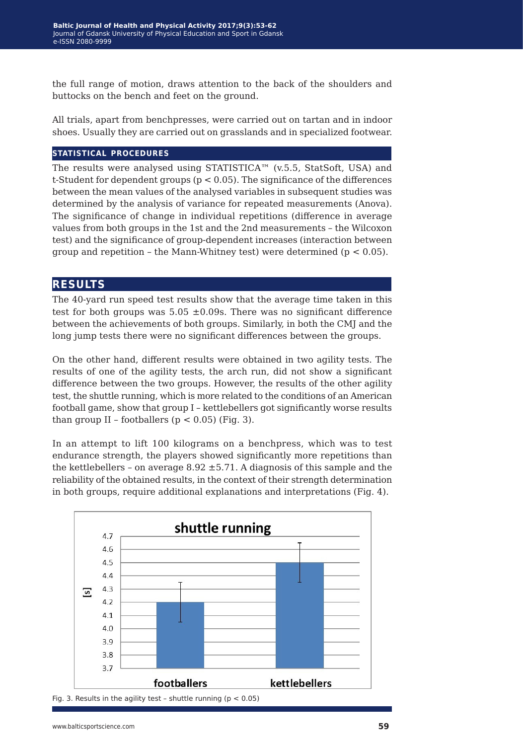the full range of motion, draws attention to the back of the shoulders and buttocks on the bench and feet on the ground.

All trials, apart from benchpresses, were carried out on tartan and in indoor shoes. Usually they are carried out on grasslands and in specialized footwear.

#### **statistical procedures**

The results were analysed using STATISTICA<sup>™</sup> (v.5.5, StatSoft, USA) and t-Student for dependent groups ( $p < 0.05$ ). The significance of the differences between the mean values of the analysed variables in subsequent studies was determined by the analysis of variance for repeated measurements (Anova). The significance of change in individual repetitions (difference in average values from both groups in the 1st and the 2nd measurements – the Wilcoxon test) and the significance of group-dependent increases (interaction between group and repetition – the Mann-Whitney test) were determined ( $p < 0.05$ ).

#### **results**

The 40-yard run speed test results show that the average time taken in this test for both groups was  $5.05 \pm 0.09$ s. There was no significant difference between the achievements of both groups. Similarly, in both the CMJ and the long jump tests there were no significant differences between the groups.

On the other hand, different results were obtained in two agility tests. The results of one of the agility tests, the arch run, did not show a significant difference between the two groups. However, the results of the other agility test, the shuttle running, which is more related to the conditions of an American football game, show that group I – kettlebellers got significantly worse results than group II – footballers ( $p < 0.05$ ) (Fig. 3).

In an attempt to lift 100 kilograms on a benchpress, which was to test endurance strength, the players showed significantly more repetitions than the kettlebellers – on average  $8.92 \pm 5.71$ . A diagnosis of this sample and the reliability of the obtained results, in the context of their strength determination in both groups, require additional explanations and interpretations (Fig. 4).



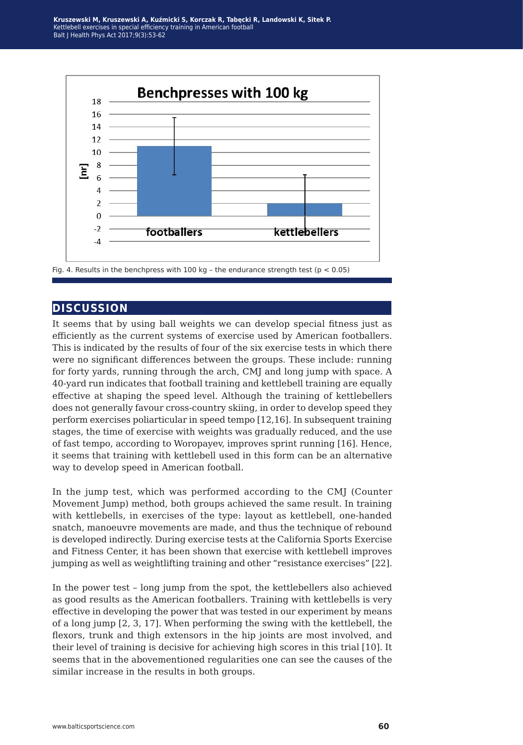**Kruszewski M, Kruszewski A, Kuźmicki S, Korczak R, Tabęcki R, Landowski K, Sitek P.** Kettlebell exercises in special efficiency training in American football Balt J Health Phys Act 2017;9(3):53-62



#### **discussion**

It seems that by using ball weights we can develop special fitness just as efficiently as the current systems of exercise used by American footballers. This is indicated by the results of four of the six exercise tests in which there were no significant differences between the groups. These include: running for forty yards, running through the arch, CMJ and long jump with space. A 40-yard run indicates that football training and kettlebell training are equally effective at shaping the speed level. Although the training of kettlebellers does not generally favour cross-country skiing, in order to develop speed they perform exercises poliarticular in speed tempo [12,16]. In subsequent training stages, the time of exercise with weights was gradually reduced, and the use of fast tempo, according to Woropayev, improves sprint running [16]. Hence, it seems that training with kettlebell used in this form can be an alternative way to develop speed in American football.

In the jump test, which was performed according to the CMJ (Counter Movement Jump) method, both groups achieved the same result. In training with kettlebells, in exercises of the type: layout as kettlebell, one-handed snatch, manoeuvre movements are made, and thus the technique of rebound is developed indirectly. During exercise tests at the California Sports Exercise and Fitness Center, it has been shown that exercise with kettlebell improves jumping as well as weightlifting training and other "resistance exercises" [22].

In the power test – long jump from the spot, the kettlebellers also achieved as good results as the American footballers. Training with kettlebells is very effective in developing the power that was tested in our experiment by means of a long jump [2, 3, 17]. When performing the swing with the kettlebell, the flexors, trunk and thigh extensors in the hip joints are most involved, and their level of training is decisive for achieving high scores in this trial [10]. It seems that in the abovementioned regularities one can see the causes of the similar increase in the results in both groups.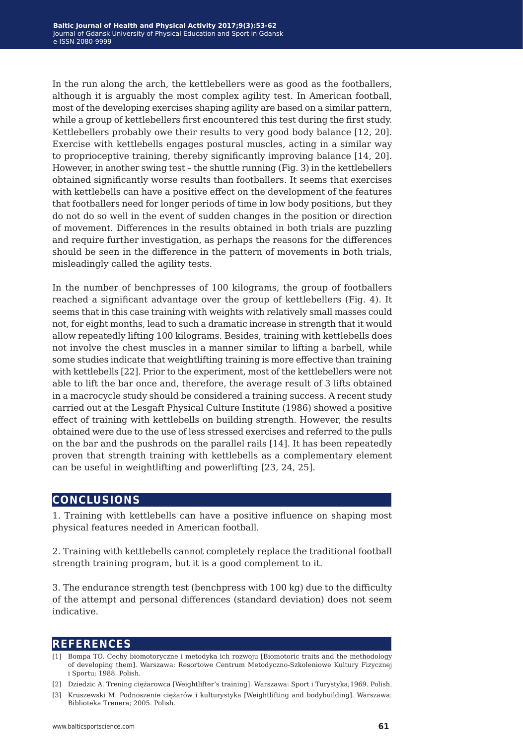In the run along the arch, the kettlebellers were as good as the footballers, although it is arguably the most complex agility test. In American football, most of the developing exercises shaping agility are based on a similar pattern, while a group of kettlebellers first encountered this test during the first study. Kettlebellers probably owe their results to very good body balance [12, 20]. Exercise with kettlebells engages postural muscles, acting in a similar way to proprioceptive training, thereby significantly improving balance [14, 20]. However, in another swing test – the shuttle running (Fig. 3) in the kettlebellers obtained significantly worse results than footballers. It seems that exercises with kettlebells can have a positive effect on the development of the features that footballers need for longer periods of time in low body positions, but they do not do so well in the event of sudden changes in the position or direction of movement. Differences in the results obtained in both trials are puzzling and require further investigation, as perhaps the reasons for the differences should be seen in the difference in the pattern of movements in both trials, misleadingly called the agility tests.

In the number of benchpresses of 100 kilograms, the group of footballers reached a significant advantage over the group of kettlebellers (Fig. 4). It seems that in this case training with weights with relatively small masses could not, for eight months, lead to such a dramatic increase in strength that it would allow repeatedly lifting 100 kilograms. Besides, training with kettlebells does not involve the chest muscles in a manner similar to lifting a barbell, while some studies indicate that weightlifting training is more effective than training with kettlebells [22]. Prior to the experiment, most of the kettlebellers were not able to lift the bar once and, therefore, the average result of 3 lifts obtained in a macrocycle study should be considered a training success. A recent study carried out at the Lesgaft Physical Culture Institute (1986) showed a positive effect of training with kettlebells on building strength. However, the results obtained were due to the use of less stressed exercises and referred to the pulls on the bar and the pushrods on the parallel rails [14]. It has been repeatedly proven that strength training with kettlebells as a complementary element can be useful in weightlifting and powerlifting [23, 24, 25].

## **conclusions**

1. Training with kettlebells can have a positive influence on shaping most physical features needed in American football.

2. Training with kettlebells cannot completely replace the traditional football strength training program, but it is a good complement to it.

3. The endurance strength test (benchpress with 100 kg) due to the difficulty of the attempt and personal differences (standard deviation) does not seem indicative.

## **references**

- [1] Bompa TO. Cechy biomotoryczne i metodyka ich rozwoju [Biomotoric traits and the methodology of developing them]. Warszawa: Resortowe Centrum Metodyczno-Szkoleniowe Kultury Fizycznej i Sportu; 1988. Polish.
- [2] Dziedzic A. Trening ciężarowca [Weightlifter's training]. Warszawa: Sport i Turystyka;1969. Polish.
- [3] Kruszewski M. Podnoszenie ciężarów i kulturystyka [Weightlifting and bodybuilding]. Warszawa: Biblioteka Trenera; 2005. Polish.